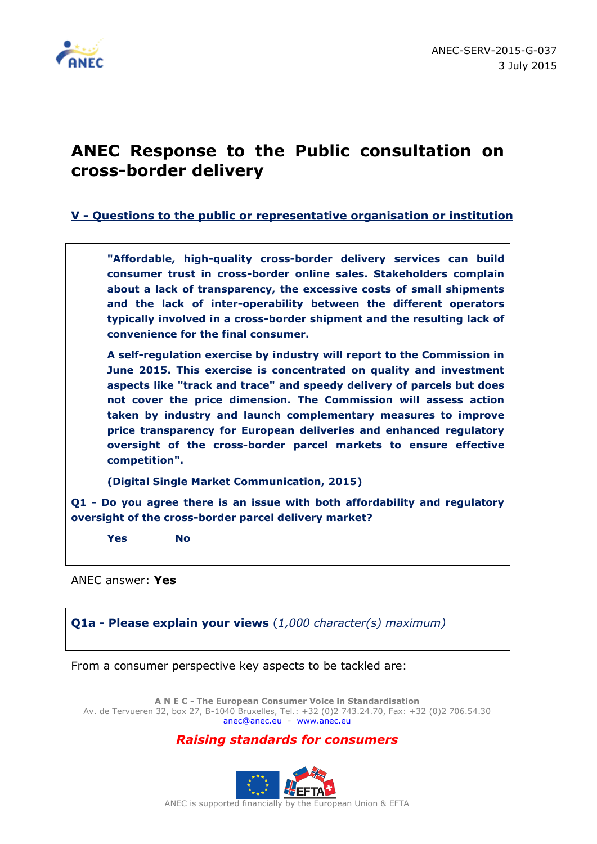

## **ANEC Response to the Public consultation on cross-border delivery**

**V - Questions to the public or representative organisation or institution**

**"Affordable, high-quality cross-border delivery services can build consumer trust in cross-border online sales. Stakeholders complain about a lack of transparency, the excessive costs of small shipments and the lack of inter-operability between the different operators typically involved in a cross-border shipment and the resulting lack of convenience for the final consumer.**

**A self-regulation exercise by industry will report to the Commission in June 2015. This exercise is concentrated on quality and investment aspects like "track and trace" and speedy delivery of parcels but does not cover the price dimension. The Commission will assess action taken by industry and launch complementary measures to improve price transparency for European deliveries and enhanced regulatory oversight of the cross-border parcel markets to ensure effective competition".**

**(Digital Single Market Communication, 2015)**

**Q1 - Do you agree there is an issue with both affordability and regulatory oversight of the cross-border parcel delivery market?**

**Yes No** 

ANEC answer: **Yes**

**Q1a - Please explain your views** (*1,000 character(s) maximum)*

From a consumer perspective key aspects to be tackled are:

**A N E C - The European Consumer Voice in Standardisation** Av. de Tervueren 32, box 27, B-1040 Bruxelles, Tel.: +32 (0)2 743.24.70, Fax: +32 (0)2 706.54.30 [anec@anec.eu](mailto:anec@anec.eu) - [www.anec.eu](http://www.anec.eu/)

## *Raising standards for consumers*

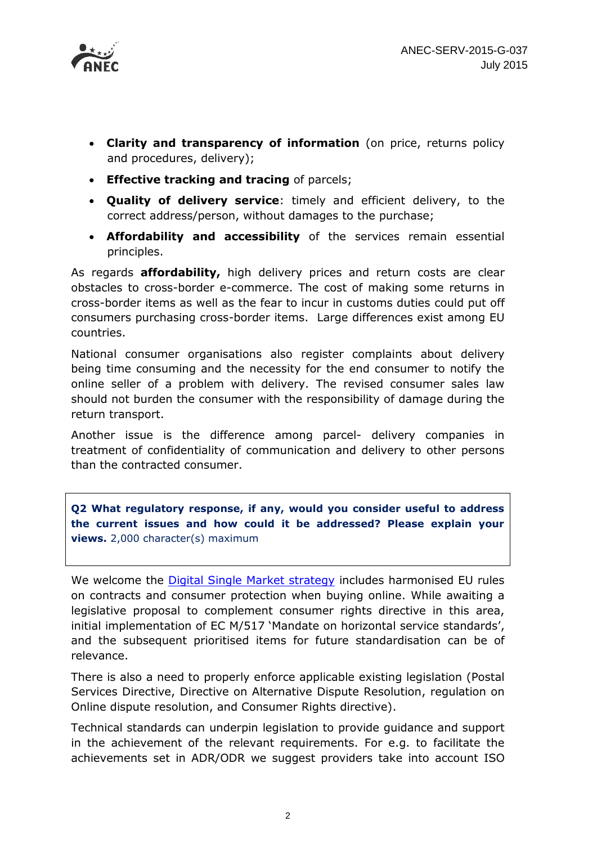

- **Clarity and transparency of information** (on price, returns policy and procedures, delivery);
- **Effective tracking and tracing** of parcels;
- **Quality of delivery service**: timely and efficient delivery, to the correct address/person, without damages to the purchase;
- **Affordability and accessibility** of the services remain essential principles.

As regards **affordability,** high delivery prices and return costs are clear obstacles to cross-border e-commerce. The cost of making some returns in cross-border items as well as the fear to incur in customs duties could put off consumers purchasing cross-border items. Large differences exist among EU countries.

National consumer organisations also register complaints about delivery being time consuming and the necessity for the end consumer to notify the online seller of a problem with delivery. The revised consumer sales law should not burden the consumer with the responsibility of damage during the return transport.

Another issue is the difference among parcel- delivery companies in treatment of confidentiality of communication and delivery to other persons than the contracted consumer.

**Q2 What regulatory response, if any, would you consider useful to address the current issues and how could it be addressed? Please explain your views.** 2,000 character(s) maximum

We welcome the **[Digital Single Market strategy](http://europa.eu/rapid/press-release_IP-15-4919_en.htm)** includes harmonised EU rules on contracts and consumer protection when buying online. While awaiting a legislative proposal to complement consumer rights directive in this area, initial implementation of EC M/517 'Mandate on horizontal service standards', and the subsequent prioritised items for future standardisation can be of relevance.

There is also a need to properly enforce applicable existing legislation (Postal Services Directive, Directive on Alternative Dispute Resolution, regulation on Online dispute resolution, and Consumer Rights directive).

Technical standards can underpin legislation to provide guidance and support in the achievement of the relevant requirements. For e.g. to facilitate the achievements set in ADR/ODR we suggest providers take into account ISO